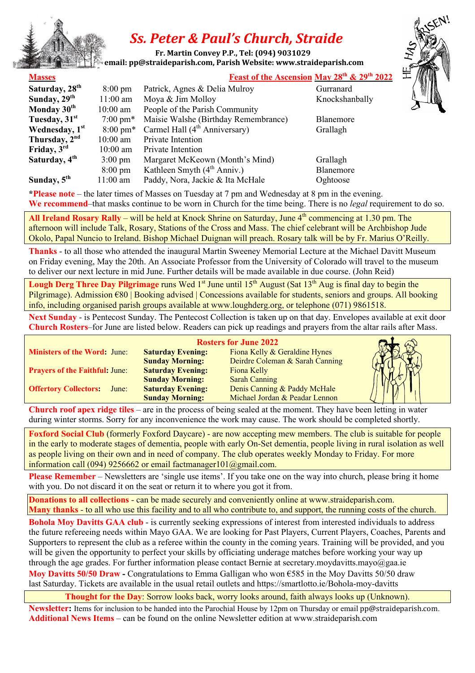

## *Ss. Peter & Paul's Church, Straide*

**Fr. Martin Convey P.P., Tel:** (094) 9031029 **ramail: pp@straideparish.com, Parish Website: www.straideparish.com** 

## **Masses Feast of the Ascension May 28th & 29th 2022**

| Saturday, 28 <sup>th</sup> | $8:00 \text{ pm}$  | Patrick, Agnes & Delia Mulroy             | Gurranard |
|----------------------------|--------------------|-------------------------------------------|-----------|
| Sunday, 29 <sup>th</sup>   | $11:00$ am         | Moya & Jim Molloy                         | Knockshan |
| Monday 30 <sup>th</sup>    | $10:00$ am         | People of the Parish Community            |           |
| Tuesday, 31 <sup>st</sup>  | $7:00 \text{ pm*}$ | Maisie Walshe (Birthday Remembrance)      | Blanemore |
| Wednesday, 1st             | $8:00 \text{ pm*}$ | Carmel Hall (4 <sup>th</sup> Anniversary) | Grallagh  |
| Thursday, 2 <sup>nd</sup>  | $10:00$ am         | Private Intention                         |           |
| Friday, 3rd                | $10:00$ am         | Private Intention                         |           |
| Saturday, 4 <sup>th</sup>  | $3:00 \text{ pm}$  | Margaret McKeown (Month's Mind)           | Grallagh  |
|                            | $8:00 \text{ pm}$  | Kathleen Smyth $(4th Anniv.)$             | Blanemore |
| Sunday, 5 <sup>th</sup>    | $11:00$ am         | Paddy, Nora, Jackie & Ita McHale          | Oghtoose  |

Knockshanbally

**\*Please note** – the later times of Masses on Tuesday at 7 pm and Wednesday at 8 pm in the evening.

**We recommend**–that masks continue to be worn in Church for the time being. There is no *legal* requirement to do so.

All Ireland Rosary Rally – will be held at Knock Shrine on Saturday, June 4<sup>th</sup> commencing at 1.30 pm. The afternoon will include Talk, Rosary, Stations of the Cross and Mass. The chief celebrant will be Archbishop Jude Okolo, Papal Nuncio to Ireland. Bishop Michael Duignan will preach. Rosary talk will be by Fr. Marius O'Reilly.

**Thanks** - to all those who attended the inaugural Martin Sweeney Memorial Lecture at the Michael Davitt Museum on Friday evening, May the 20th. An Associate Professor from the University of Colorado will travel to the museum to deliver our next lecture in mid June. Further details will be made available in due course. (John Reid)

**Lough Derg Three Day Pilgrimage** runs Wed 1<sup>st</sup> June until 15<sup>th</sup> August (Sat 13<sup>th</sup> Aug is final day to begin the Pilgrimage). Admission €80 | Booking advised | Concessions available for students, seniors and groups. All booking info, including organised parish groups available at www.loughderg.org, or telephone (071) 9861518.

**Next Sunday** - is Pentecost Sunday. The Pentecost Collection is taken up on that day. Envelopes available at exit door **Church Rosters**–for June are listed below. Readers can pick up readings and prayers from the altar rails after Mass.

|                                       |                          | <b>Rosters for June 2022</b>    |  |
|---------------------------------------|--------------------------|---------------------------------|--|
| <b>Ministers of the Word: June:</b>   | <b>Saturday Evening:</b> | Fiona Kelly & Geraldine Hynes   |  |
|                                       | <b>Sunday Morning:</b>   | Deirdre Coleman & Sarah Canning |  |
| <b>Prayers of the Faithful: June:</b> | <b>Saturday Evening:</b> | Fiona Kelly                     |  |
|                                       | <b>Sunday Morning:</b>   | <b>Sarah Canning</b>            |  |
| <b>Offertory Collectors:</b><br>June: | <b>Saturday Evening:</b> | Denis Canning & Paddy McHale    |  |
|                                       | <b>Sunday Morning:</b>   | Michael Jordan & Peadar Lennon  |  |

**Church roof apex ridge tiles** – are in the process of being sealed at the moment. They have been letting in water during winter storms. Sorry for any inconvenience the work may cause. The work should be completed shortly.

**Foxford Social Club** (formerly Foxford Daycare) - are now accepting mew members. The club is suitable for people in the early to moderate stages of dementia, people with early On-Set dementia, people living in rural isolation as well as people living on their own and in need of company. The club operates weekly Monday to Friday. For more information call (094) 9256662 or email factmanager101@gmail.com.

**Please Remember** – Newsletters are 'single use items'. If you take one on the way into church, please bring it home with you. Do not discard it on the seat or return it to where you got it from.

**Donations to all collections** - can be made securely and conveniently online at www.straideparish.com. **Many thanks** - to all who use this facility and to all who contribute to, and support, the running costs of the church.

**Bohola Moy Davitts GAA club** - is currently seeking expressions of interest from interested individuals to address the future refereeing needs within Mayo GAA. We are looking for Past Players, Current Players, Coaches, Parents and Supporters to represent the club as a referee within the county in the coming years. Training will be provided, and you will be given the opportunity to perfect your skills by officiating underage matches before working your way up through the age grades. For further information please contact Bernie at secretary.moydavitts.mayo@gaa.ie **Moy Davitts 50/50 Draw -** Congratulations to Emma Galligan who won €585 in the Moy Davitts 50/50 draw last Saturday. Tickets are available in the usual retail outlets and https://smartlotto.ie/Bohola-moy-davitts

**Thought for the Day**: Sorrow looks back, worry looks around, faith always looks up (Unknown).

**Newsletter:** Items for inclusion to be handed into the Parochial House by 12pm on Thursday or email pp@straideparish.com. **Additional News Items** – can be found on the online Newsletter edition at www.straideparish.com